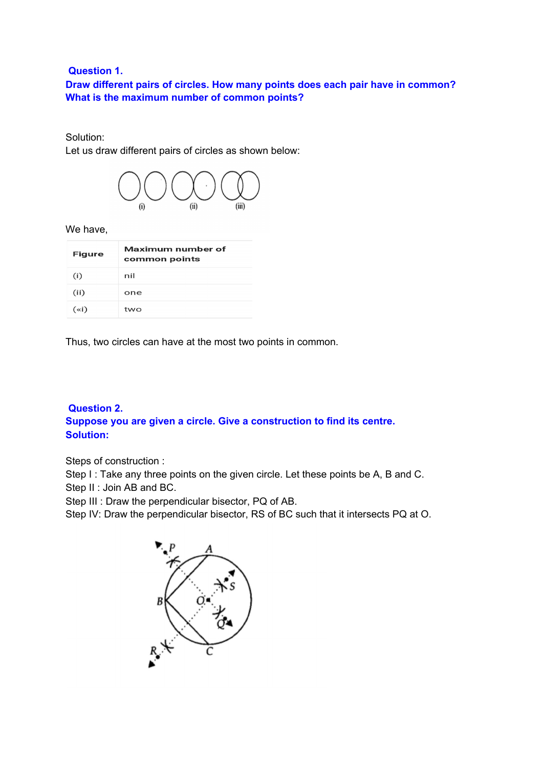#### **Question 1.**

**Draw different pairs of circles. How many points does each pair have in common? What is the maximum number of common points?**

#### Solution:

Let us draw different pairs of circles as shown below:



We have,

| <b>Figure</b> | Maximum number of<br>common points |
|---------------|------------------------------------|
| (i)           | nil                                |
| (ii)          | one                                |
| $(\times i)$  | two                                |

Thus, two circles can have at the most two points in common.

# **Question 2. Suppose you are given a circle. Give a construction to find its centre. Solution:**

Steps of construction :

Step I : Take any three points on the given circle. Let these points be A, B and C. Step II : Join AB and BC.

Step III : Draw the perpendicular bisector, PQ of AB.

Step IV: Draw the perpendicular bisector, RS of BC such that it intersects PQ at O.

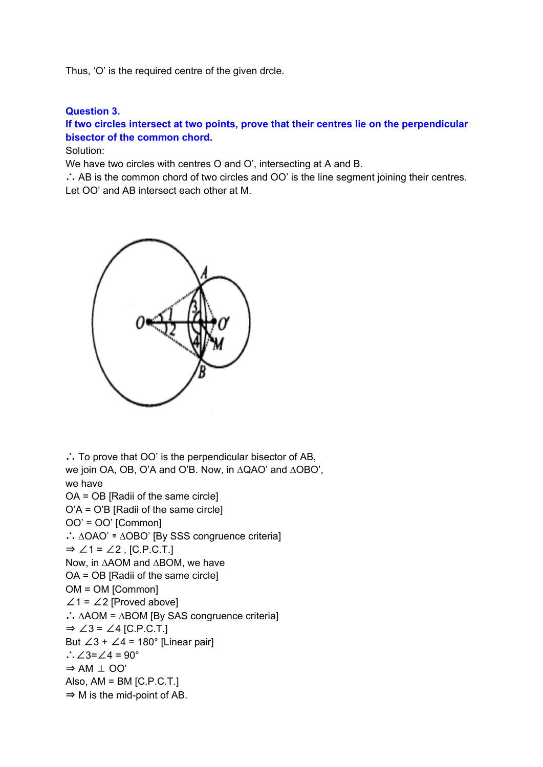Thus, 'O' is the required centre of the given drcle.

### **Question 3.**

# **If two circles intersect at two points, prove that their centres lie on the perpendicular bisector of the common chord.**

Solution:

We have two circles with centres O and O', intersecting at A and B.

∴ AB is the common chord of two circles and OO' is the line segment joining their centres. Let OO' and AB intersect each other at M.



∴ To prove that OO' is the perpendicular bisector of AB, we join OA, OB, O'A and O'B. Now, in ∆QAO' and ∆OBO', we have OA = OB [Radii of the same circle] O'A = O'B [Radii of the same circle] OO' = OO' [Common] ∴ ∆OAO' ≅ ∆OBO' [By SSS congruence criteria] ⇒ ∠1 = ∠2 , [C.P.C.T.] Now, in ∆AOM and ∆BOM, we have OA = OB [Radii of the same circle] OM = OM [Common]  $\angle$ 1 =  $\angle$ 2 [Proved above] ∴ ∆AOM = ∆BOM [By SAS congruence criteria] ⇒ ∠3 = ∠4 [C.P.C.T.] But  $\angle 3 + \angle 4 = 180^\circ$  [Linear pair] ∴∠3=∠4 = 90°  $\Rightarrow$  AM  $\perp$  OO' Also,  $AM = BM$  [C.P.C.T.]  $\Rightarrow$  M is the mid-point of AB.